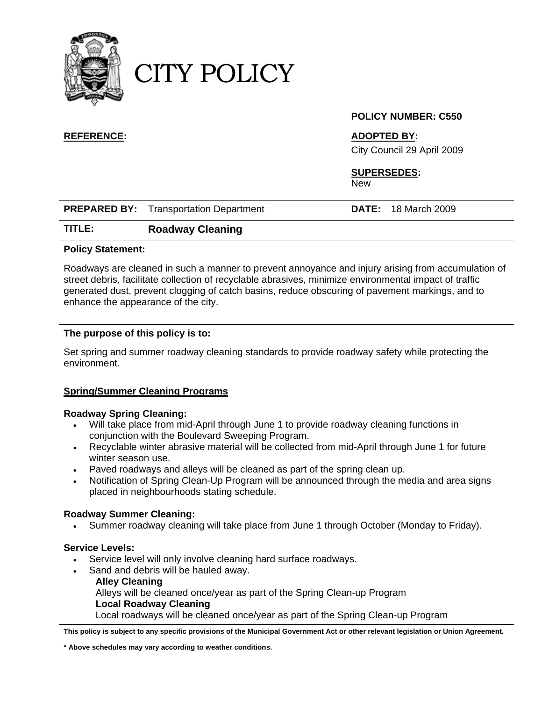

# CITY POLICY

# **POLICY NUMBER: C550**

#### **REFERENCE: ADOPTED BY:**

City Council 29 April 2009

# **SUPERSEDES:**

New

|        | <b>PREPARED BY:</b> Transportation Department | <b>DATE:</b> 18 March 2009 |
|--------|-----------------------------------------------|----------------------------|
| TITLE: | <b>Roadway Cleaning</b>                       |                            |

#### **Policy Statement:**

Roadways are cleaned in such a manner to prevent annoyance and injury arising from accumulation of street debris, facilitate collection of recyclable abrasives, minimize environmental impact of traffic generated dust, prevent clogging of catch basins, reduce obscuring of pavement markings, and to enhance the appearance of the city.

#### **The purpose of this policy is to:**

Set spring and summer roadway cleaning standards to provide roadway safety while protecting the environment.

# **Spring/Summer Cleaning Programs**

#### **Roadway Spring Cleaning:**

- Will take place from mid-April through June 1 to provide roadway cleaning functions in conjunction with the Boulevard Sweeping Program.
- Recyclable winter abrasive material will be collected from mid-April through June 1 for future winter season use.
- Paved roadways and alleys will be cleaned as part of the spring clean up.
- Notification of Spring Clean-Up Program will be announced through the media and area signs placed in neighbourhoods stating schedule.

#### **Roadway Summer Cleaning:**

Summer roadway cleaning will take place from June 1 through October (Monday to Friday).

#### **Service Levels:**

- Service level will only involve cleaning hard surface roadways.
- Sand and debris will be hauled away. **Alley Cleaning**  Alleys will be cleaned once/year as part of the Spring Clean-up Program **Local Roadway Cleaning**  Local roadways will be cleaned once/year as part of the Spring Clean-up Program

**This policy is subject to any specific provisions of the Municipal Government Act or other relevant legislation or Union Agreement.** 

**\* Above schedules may vary according to weather conditions.**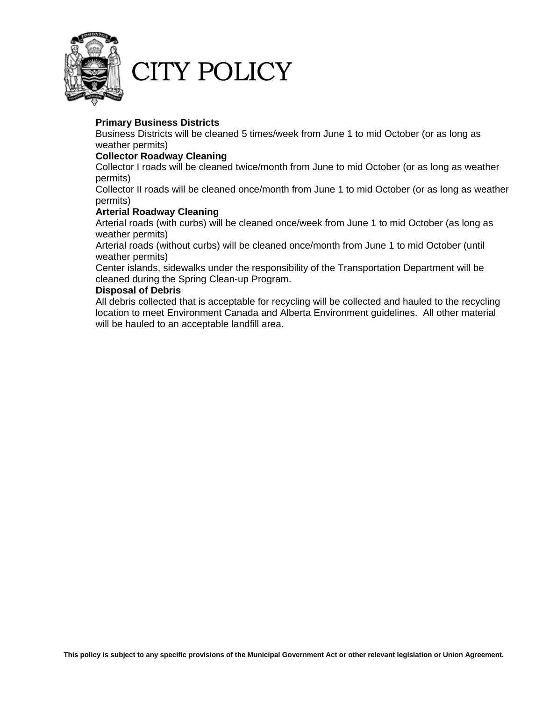

# CITY POLICY

# **Primary Business Districts**

 Business Districts will be cleaned 5 times/week from June 1 to mid October (or as long as weather permits)

# **Collector Roadway Cleaning**

 Collector I roads will be cleaned twice/month from June to mid October (or as long as weather permits)

 Collector II roads will be cleaned once/month from June 1 to mid October (or as long as weather permits)

#### **Arterial Roadway Cleaning**

 Arterial roads (with curbs) will be cleaned once/week from June 1 to mid October (as long as weather permits)

 Arterial roads (without curbs) will be cleaned once/month from June 1 to mid October (until weather permits)

 Center islands, sidewalks under the responsibility of the Transportation Department will be cleaned during the Spring Clean-up Program.

#### **Disposal of Debris**

 All debris collected that is acceptable for recycling will be collected and hauled to the recycling location to meet Environment Canada and Alberta Environment guidelines. All other material will be hauled to an acceptable landfill area.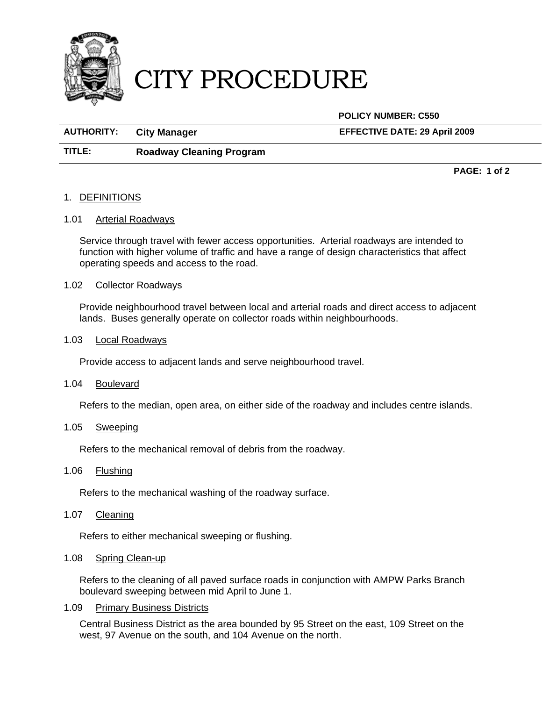

# CITY PROCEDURE

**POLICY NUMBER: C550**

**AUTHORITY: City Manager EFFECTIVE DATE: 29 April 2009**

# **TITLE: Roadway Cleaning Program**

**PAGE: 1 of 2** 

# 1. DEFINITIONS

# 1.01 Arterial Roadways

 Service through travel with fewer access opportunities. Arterial roadways are intended to function with higher volume of traffic and have a range of design characteristics that affect operating speeds and access to the road.

# 1.02 Collector Roadways

 Provide neighbourhood travel between local and arterial roads and direct access to adjacent lands. Buses generally operate on collector roads within neighbourhoods.

# 1.03 Local Roadways

Provide access to adjacent lands and serve neighbourhood travel.

# 1.04 Boulevard

Refers to the median, open area, on either side of the roadway and includes centre islands.

# 1.05 Sweeping

Refers to the mechanical removal of debris from the roadway.

# 1.06 Flushing

Refers to the mechanical washing of the roadway surface.

1.07 Cleaning

Refers to either mechanical sweeping or flushing.

# 1.08 Spring Clean-up

 Refers to the cleaning of all paved surface roads in conjunction with AMPW Parks Branch boulevard sweeping between mid April to June 1.

# 1.09 Primary Business Districts

 Central Business District as the area bounded by 95 Street on the east, 109 Street on the west, 97 Avenue on the south, and 104 Avenue on the north.